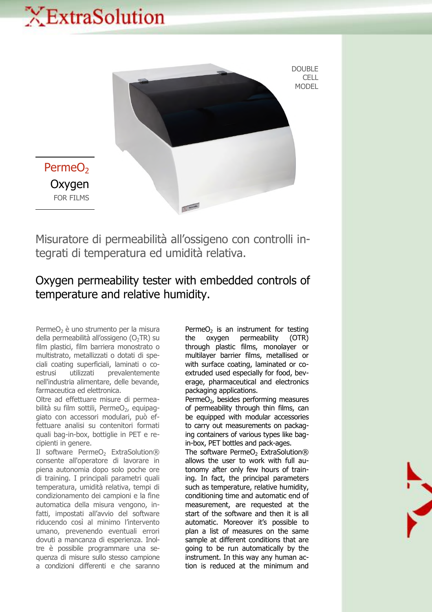## XExtraSolution



Misuratore di permeabilità all'ossigeno con controlli integrati di temperatura ed umidità relativa.

## Oxygen permeability tester with embedded controls of temperature and relative humidity.

PermeO<sub>2</sub> è uno strumento per la misura della permeabilità all'ossigeno ( $O<sub>2</sub>TR$ ) su film plastici, film barriera monostrato o multistrato, metallizzati o dotati di speciali coating superficiali, laminati o coestrusi utilizzati prevalentemente nell'industria alimentare, delle bevande, farmaceutica ed elettronica.

Oltre ad effettuare misure di permeabilità su film sottili, PermeO<sub>2</sub>, equipaggiato con accessori modulari, può effettuare analisi su contenitori formati quali bag-in-box, bottiglie in PET e recipienti in genere.

Il software PermeO<sub>2</sub> ExtraSolution® consente all'operatore di lavorare in piena autonomia dopo solo poche ore di training. I principali parametri quali temperatura, umidità relativa, tempi di condizionamento dei campioni e la fine automatica della misura vengono, infatti, impostati all'avvio del software riducendo così al minimo l'intervento umano, prevenendo eventuali errori dovuti a mancanza di esperienza. Inoltre è possibile programmare una sequenza di misure sullo stesso campione a condizioni differenti e che saranno

Perme $O<sub>2</sub>$  is an instrument for testing the oxygen permeability (OTR) through plastic films, monolayer or multilayer barrier films, metallised or with surface coating, laminated or coextruded used especially for food, beverage, pharmaceutical and electronics packaging applications.

Perme $O<sub>2</sub>$ , besides performing measures of permeability through thin films, can be equipped with modular accessories to carry out measurements on packaging containers of various types like bagin-box, PET bottles and pack-ages.

The software PermeO<sub>2</sub> ExtraSolution® allows the user to work with full autonomy after only few hours of training. In fact, the principal parameters such as temperature, relative humidity, conditioning time and automatic end of measurement, are requested at the start of the software and then it is all automatic. Moreover it's possible to plan a list of measures on the same sample at different conditions that are going to be run automatically by the instrument. In this way any human action is reduced at the minimum and